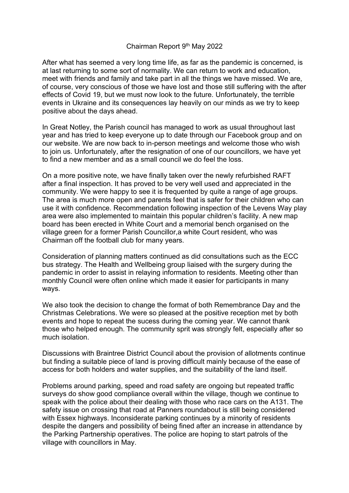## Chairman Report 9<sup>th</sup> May 2022

After what has seemed a very long time life, as far as the pandemic is concerned, is at last returning to some sort of normality. We can return to work and education, meet with friends and family and take part in all the things we have missed. We are, of course, very conscious of those we have lost and those still suffering with the after effects of Covid 19, but we must now look to the future. Unfortunately, the terrible events in Ukraine and its consequences lay heavily on our minds as we try to keep positive about the days ahead.

In Great Notley, the Parish council has managed to work as usual throughout last year and has tried to keep everyone up to date through our Facebook group and on our website. We are now back to in-person meetings and welcome those who wish to join us. Unfortunately, after the resignation of one of our councillors, we have yet to find a new member and as a small council we do feel the loss.

On a more positive note, we have finally taken over the newly refurbished RAFT after a final inspection. It has proved to be very well used and appreciated in the community. We were happy to see it is frequented by quite a range of age groups. The area is much more open and parents feel that is safer for their children who can use it with confidence. Recommendation following inspection of the Levens Way play area were also implemented to maintain this popular children's facility. A new map board has been erected in White Court and a memorial bench organised on the village green for a former Parish Councillor,a white Court resident, who was Chairman off the football club for many years.

Consideration of planning matters continued as did consultations such as the ECC bus strategy. The Health and Wellbeing group liaised with the surgery during the pandemic in order to assist in relaying information to residents. Meeting other than monthly Council were often online which made it easier for participants in many ways.

We also took the decision to change the format of both Remembrance Day and the Christmas Celebrations. We were so pleased at the positive reception met by both events and hope to repeat the sucess during the coming year. We cannot thank those who helped enough. The community sprit was strongly felt, especially after so much isolation.

Discussions with Braintree District Council about the provision of allotments continue but finding a suitable piece of land is proving difficult mainly because of the ease of access for both holders and water supplies, and the suitability of the land itself.

Problems around parking, speed and road safety are ongoing but repeated traffic surveys do show good compliance overall within the village, though we continue to speak with the police about their dealing with those who race cars on the A131. The safety issue on crossing that road at Panners roundabout is still being considered with Essex highways. Inconsiderate parking continues by a minority of residents despite the dangers and possibility of being fined after an increase in attendance by the Parking Partnership operatives. The police are hoping to start patrols of the village with councillors in May.